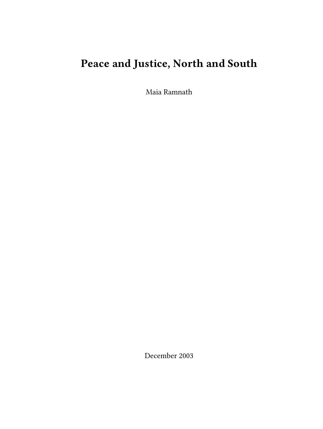# **Peace and Justice, North and South**

Maia Ramnath

December 2003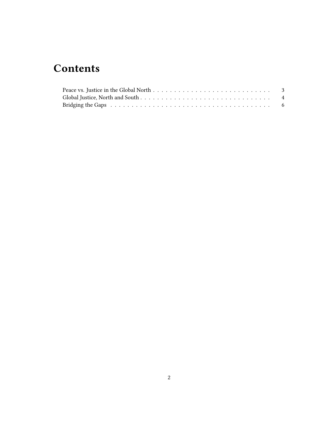## **Contents**

| Peace vs. Justice in the Global North $\ldots \ldots \ldots \ldots \ldots \ldots \ldots \ldots \ldots$        |  |
|---------------------------------------------------------------------------------------------------------------|--|
|                                                                                                               |  |
| Bridging the Gaps research resources in the series of the series of the series of the Saps resources in the S |  |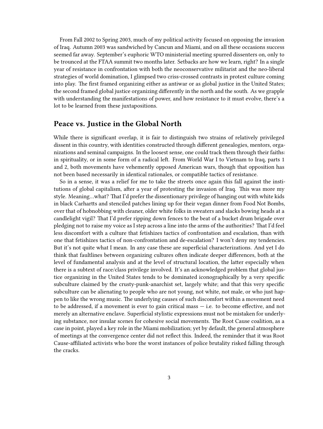From Fall 2002 to Spring 2003, much of my political activity focused on opposing the invasion of Iraq. Autumn 2003 was sandwiched by Cancun and Miami, and on all these occasions success seemed far away. September's euphoric WTO ministerial meeting spurred dissenters on, only to be trounced at the FTAA summit two months later. Setbacks are how we learn, right? In a single year of resistance in confrontation with both the neoconservative militarist and the neo-liberal strategies of world domination, I glimpsed two criss-crossed contrasts in protest culture coming into play. The first framed organizing either as antiwar or as global justice in the United States; the second framed global justice organizing differently in the north and the south. As we grapple with understanding the manifestations of power, and how resistance to it must evolve, there's a lot to be learned from these juxtapositions.

#### <span id="page-2-0"></span>**Peace vs. Justice in the Global North**

While there is significant overlap, it is fair to distinguish two strains of relatively privileged dissent in this country, with identities constructed through different genealogies, mentors, organizations and seminal campaigns. In the loosest sense, one could track them through their faiths: in spirituality, or in some form of a radical left. From World War I to Vietnam to Iraq, parts 1 and 2, both movements have vehemently opposed American wars, though that opposition has not been based necessarily in identical rationales, or compatible tactics of resistance.

So in a sense, it was a relief for me to take the streets once again this fall against the institutions of global capitalism, after a year of protesting the invasion of Iraq. This was more my style. Meaning…what? That I'd prefer the dissentionary privilege of hanging out with white kids in black Carhartts and stenciled patches lining up for their vegan dinner from Food Not Bombs, over that of hobnobbing with cleaner, older white folks in sweaters and slacks bowing heads at a candlelight vigil? That I'd prefer ripping down fences to the beat of a bucket drum brigade over pledging not to raise my voice as I step across a line into the arms of the authorities? That I'd feel less discomfort with a culture that fetishizes tactics of confrontation and escalation, than with one that fetishizes tactics of non-confrontation and de-escalation? I won't deny my tendencies. But it's not quite what I mean. In any case these are superficial characterizations. And yet I do think that faultlines between organizing cultures often indicate deeper differences, both at the level of fundamental analysis and at the level of structural location, the latter especially when there is a subtext of race/class privilege involved. It's an acknowledged problem that global justice organizing in the United States tends to be dominated iconographically by a very specific subculture claimed by the crusty-punk-anarchist set, largely white; and that this very specific subculture can be alienating to people who are not young, not white, not male, or who just happen to like the wrong music. The underlying causes of such discomfort within a movement need to be addressed, if a movement is ever to gain critical mass — i.e. to become effective, and not merely an alternative enclave. Superficial stylistic expressions must not be mistaken for underlying substance, nor insular scenes for cohesive social movements. The Root Cause coalition, as a case in point, played a key role in the Miami mobilization; yet by default, the general atmosphere of meetings at the convergence center did not reflect this. Indeed, the reminder that it was Root Cause-affiliated activists who bore the worst instances of police brutality risked falling through the cracks.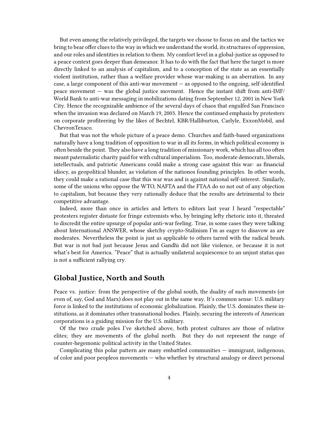But even among the relatively privileged, the targets we choose to focus on and the tactics we bring to bear offer clues to the way in which we understand the world, its structures of oppression, and our roles and identities in relation to them. My comfort level in a global-justice as opposed to a peace context goes deeper than demeanor. It has to do with the fact that here the target is more directly linked to an analysis of capitalism, and to a conception of the state as an essentially violent institution, rather than a welfare provider whose war-making is an aberration. In any case, a large component of this anti-war movement  $-$  as opposed to the ongoing, self-identified peace movement — was the global justice movment. Hence the instant shift from anti-IMF/ World Bank to anti-war messaging in mobilizations dating from September 12, 2001 in New York City. Hence the recognizable ambience of the several days of chaos that engulfed San Francisco when the invasion was declared on March 19, 2003. Hence the continued emphasis by protesters on corporate profiteering by the likes of Bechtel, KBR/Halliburton, Carlyle, ExxonMobil, and ChevronTexaco.

But that was not the whole picture of a peace demo. Churches and faith-based organizations naturally have a long tradition of opposition to war in all its forms, in which political economy is often beside the point. They also have a long tradition of missionary work, which has all too often meant paternalistic charity paid for with cultural imperialism. Too, moderate democrats, liberals, intellectuals, and patriotic Americans could make a strong case against this war: as financial idiocy, as geopolitical blunder, as violation of the nationos founding principles. In other words, they could make a rational case that this war was and is against national self-interest. Similarly, some of the unions who oppose the WTO, NAFTA and the FTAA do so not out of any objection to capitalism, but because they very rationally deduce that the results are detrimental to their competitive advantage.

Indeed, more than once in articles and letters to editors last year I heard "respectable" protesters register distaste for fringe extremists who, by bringing lefty rhetoric into it, threated to discredit the entire upsurge of popular anti-war feeling. True, in some cases they were talking about International ANSWER, whose sketchy crypto-Stalinism I'm as eager to disavow as are moderates. Nevertheless the point is just as applicable to others tarred with the radical brush. But war is not bad just because Jesus and Gandhi did not like violence, or because it is not what's best for America. "Peace" that is actually unilateral acquiescence to an unjust status quo is not a sufficient rallying cry.

#### <span id="page-3-0"></span>**Global Justice, North and South**

Peace vs. justice: from the perspective of the global south, the duality of such movements (or even of, say, God and Marx) does not play out in the same way. It's common sense: U.S. military force is linked to the institutions of economic globalization. Plainly, the U.S. dominates these institutions, as it dominates other transnational bodies. Plainly, securing the interests of American corporations is a guiding mission for the U.S. military.

Of the two crude poles I've sketched above, both protest cultures are those of relative elites; they are movements of the global north. But they do not represent the range of counter-hegemonic political activity in the United States.

Complicating this polar pattern are many embattled communities — immigrant, indigenous, of color and poor peopleos movements — who whether by structural analogy or direct personal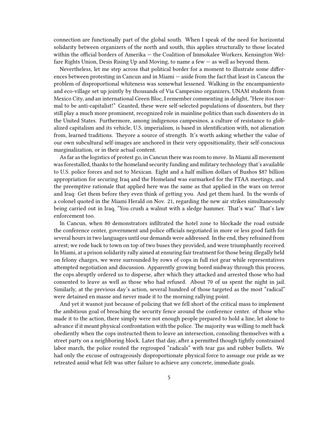connection are functionally part of the global south. When I speak of the need for horizontal solidarity between organizers of the north and south, this applies structurally to those located within the official borders of Amerika — the Coalition of Immokalee Workers, Kensington Welfare Rights Union, Desis Rising Up and Moving, to name a few — as well as beyond them.

Nevertheless, let me step across that political border for a moment to illustrate some differences between protesting in Cancun and in Miami — aside from the fact that least in Cancun the problem of disproportional whiteness was somewhat lessened. Walking in the encampamiento and eco-village set up jointly by thousands of Via Campesino organizers, UNAM students from Mexico City, and an international Green Bloc, I remember commenting in delight, "Here itos normal to be anti-capitalist!" Granted, these were self-selected populations of dissenters, but they still play a much more prominent, recognized role in mainline politics than such dissenters do in the United States. Furthermore, among indigenous campesinos, a culture of resistance to globalized capitalism and its vehicle, U.S. imperialism, is based in identification with, not alienation from, learned traditions. Theyore a source of strength. It's worth asking whether the value of our own subcultural self-images are anchored in their very oppositionality, their self-conscious marginalization, or in their actual content.

As far as the logistics of protest go, in Cancun there was room to move. In Miami all movement was forestalled, thanks to the homeland security funding and military technology that's available to U.S. police forces and not to Mexican. Eight and a half million dollars of Bushos \$87 billion appropriation for securing Iraq and the Homeland was earmarked for the FTAA meetings, and the preemptive rationale that applied here was the same as that applied in the wars on terror and Iraq: Get them before they even think of getting you. And get them hard. In the words of a colonel quoted in the Miami Herald on Nov. 21, regarding the new air strikes simultaneously being carried out in Iraq, "You crush a walnut with a sledge hammer. That's war." That's law enforcement too.

In Cancun, when 80 demonstrators infiltrated the hotel zone to blockade the road outside the conference center, government and police officials negotiated in more or less good faith for several hours in two languages until our demands were addressed. In the end, they refrained from arrest; we rode back to town on top of two buses they provided, and were triumphantly received. In Miami, at a prison solidarity rally aimed at ensuring fair treatment for those being illegally held on felony charges, we were surrounded by rows of cops in full riot gear while representatives attempted negotiation and discussion. Apparently growing bored midway through this process, the cops abruptly ordered us to disperse, after which they attacked and arrested those who had consented to leave as well as those who had refused. About 70 of us spent the night in jail. Similarly, at the previous day's action, several hundred of those targeted as the most "radical" were detained en masse and never made it to the morning rallying point.

And yet it wasnot just because of policing that we fell short of the critical mass to implement the ambitious goal of breaching the security fence around the conference center. of those who made it to the action, there simply were not enough people prepared to hold a line, let alone to advance if it meant physical confrontation with the police. The majority was willing to melt back obediently when the cops instructed them to leave an intersection, consoling themselves with a street party on a neighboring block. Later that day, after a permitted though tightly constrained labor march, the police routed the regrouped "radicals" with tear gas and rubber bullets. We had only the excuse of outrageously disproportionate physical force to assuage our pride as we retreated amid what felt was utter failure to achieve any concrete, immediate goals.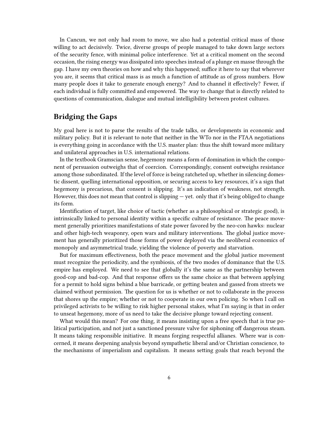In Cancun, we not only had room to move, we also had a potential critical mass of those willing to act decisively. Twice, diverse groups of people managed to take down large sectors of the security fence, with minimal police interference. Yet at a critical moment on the second occasion, the rising energy was dissipated into speeches instead of a plunge en masse through the gap. I have my own theories on how and why this happened; suffice it here to say that wherever you are, it seems that critical mass is as much a function of attitude as of gross numbers. How many people does it take to generate enough energy? And to channel it effectively? Fewer, if each individual is fully committed and empowered. The way to change that is directly related to questions of communication, dialogue and mutual intelligibility between protest cultures.

### <span id="page-5-0"></span>**Bridging the Gaps**

My goal here is not to parse the results of the trade talks, or developments in economic and military policy. But it is relevant to note that neither in the WTo nor in the FTAA negotiations is everything going in accordance with the U.S. master plan: thus the shift toward more military and unilateral approaches in U.S. international relations.

In the textbook Gramscian sense, hegemony means a form of domination in which the component of persuasion outweighs that of coercion. Correspondingly, consent outweighs resistance among those subordinated. If the level of force is being ratcheted up, whether in silencing domestic dissent, quelling international opposition, or securing access to key resources, it's a sign that hegemony is precarious, that consent is slipping. It's an indication of weakness, not strength. However, this does not mean that control is slipping — yet. only that it's being obliged to change its form.

Identification of target, like choice of tactic (whether as a philosophical or strategic good), is intrinsically linked to personal identity within a specific culture of resistance. The peace movement generally prioritizes manifestations of state power favored by the neo-con hawks: nuclear and other high-tech weaponry, open wars and military interventions. The global justice movement has generally prioritized those forms of power deployed via the neoliberal economics of monopoly and asymmetrical trade, yielding the violence of poverty and starvation.

But for maximum effectiveness, both the peace movement and the global justice movement must recognize the periodicity, and the symbiosis, of the two modes of dominance that the U.S. empire has employed. We need to see that globally it's the same as the partnership between good-cop and bad-cop. And that response offers us the same choice as that between applying for a permit to hold signs behind a blue barricade, or getting beaten and gassed from streets we claimed without permission. The question for us is whether or not to collaborate in the process that shores up the empire; whether or not to cooperate in our own policing. So when I call on privileged activists to be willing to risk higher personal stakes, what I'm saying is that in order to unseat hegemony, more of us need to take the decisive plunge toward rejecting consent.

What would this mean? For one thing, it means insisting upon a free speech that is true political participation, and not just a sanctioned pressure valve for siphoning off dangerous steam. It means taking responsible initiative. It means forging respectful allianes. Where war is concerned, it means deepening analysis beyond sympathetic liberal and/or Christian conscience, to the mechanisms of imperialism and capitalism. It means setting goals that reach beyond the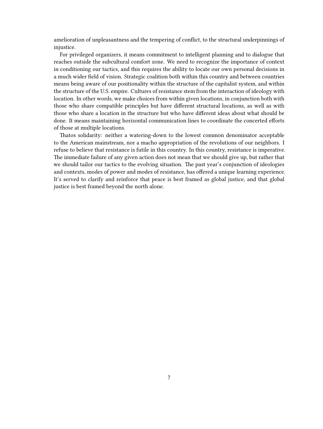amelioration of unpleasantness and the tempering of conflict, to the structural underpinnings of injustice.

For privileged organizers, it means commitment to intelligent planning and to dialogue that reaches outside the subcultural comfort zone. We need to recognize the importance of context in conditioning our tactics, and this requires the ability to locate our own personal decisions in a much wider field of vision. Strategic coalition both within this country and between countries means being aware of our positionality within the structure of the capitalist system, and within the structure of the U.S. empire. Cultures of resistance stem from the interaction of ideology with location. In other words, we make choices from within given locations, in conjunction both with those who share compatible principles but have different structural locations, as well as with those who share a location in the structure but who have different ideas about what should be done. It means maintaining horizontal communication lines to coordinate the concerted efforts of those at multiple locations.

Thatos solidarity: neither a watering-down to the lowest common denominator acceptable to the American mainstream, nor a macho appropriation of the revolutions of our neighbors. I refuse to believe that resistance is futile in this country. In this country, resistance is imperative. The immediate failure of any given action does not mean that we should give up, but rather that we should tailor our tactics to the evolving situation. The past year's conjunction of ideologies and contexts, modes of power and modes of resistance, has offered a unique learning experience. It's served to clarify and reinforce that peace is best framed as global justice, and that global justice is best framed beyond the north alone.